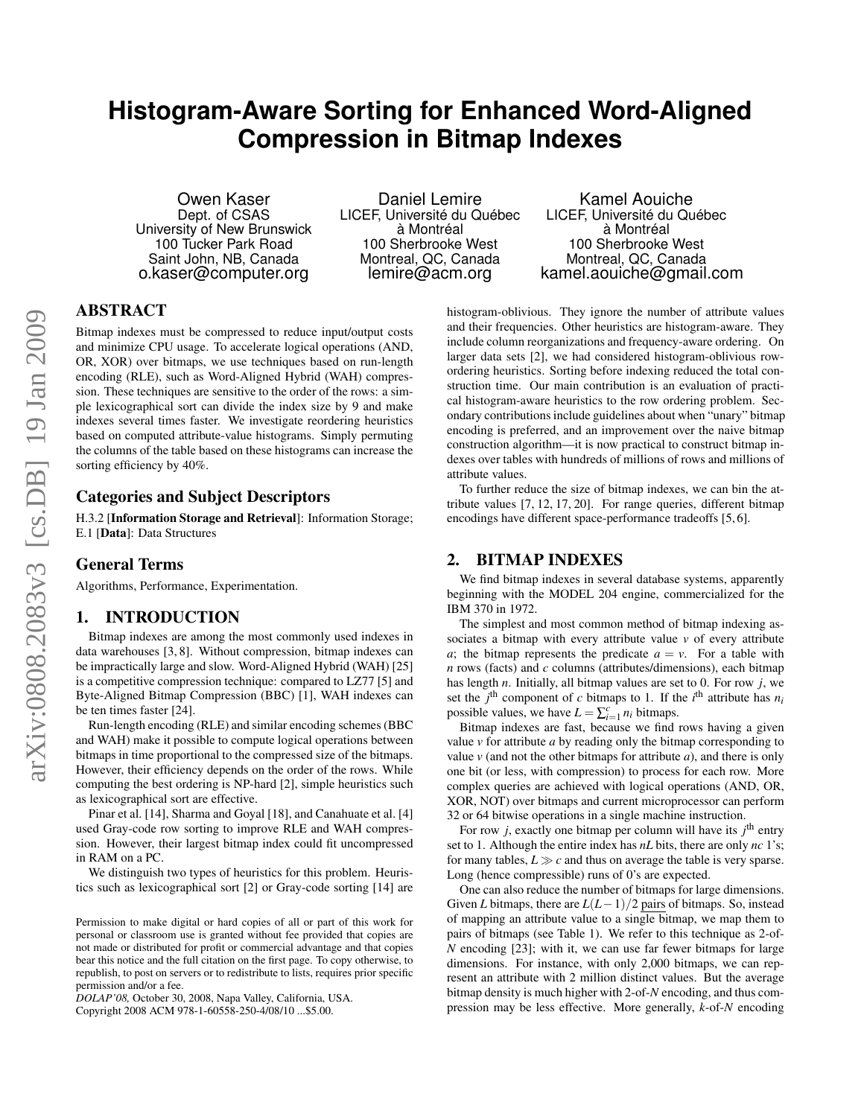# **Histogram-Aware Sorting for Enhanced Word-Aligned Compression in Bitmap Indexes**

Owen Kaser Dept. of CSAS University of New Brunswick 100 Tucker Park Road Saint John, NB, Canada o.kaser@computer.org

Daniel Lemire LICEF, Université du Québec à Montréal 100 Sherbrooke West Montreal, QC, Canada lemire@acm.org

Kamel Aouiche LICEF, Université du Québec à Montréal 100 Sherbrooke West Montreal, QC, Canada kamel.aouiche@gmail.com

# ABSTRACT

Bitmap indexes must be compressed to reduce input/output costs and minimize CPU usage. To accelerate logical operations (AND, OR, XOR) over bitmaps, we use techniques based on run-length encoding (RLE), such as Word-Aligned Hybrid (WAH) compression. These techniques are sensitive to the order of the rows: a simple lexicographical sort can divide the index size by 9 and make indexes several times faster. We investigate reordering heuristics based on computed attribute-value histograms. Simply permuting the columns of the table based on these histograms can increase the sorting efficiency by 40%.

# Categories and Subject Descriptors

H.3.2 [Information Storage and Retrieval]: Information Storage; E.1 [Data]: Data Structures

# General Terms

Algorithms, Performance, Experimentation.

## 1. INTRODUCTION

Bitmap indexes are among the most commonly used indexes in data warehouses [3, 8]. Without compression, bitmap indexes can be impractically large and slow. Word-Aligned Hybrid (WAH) [25] is a competitive compression technique: compared to LZ77 [5] and Byte-Aligned Bitmap Compression (BBC) [1], WAH indexes can be ten times faster [24].

Run-length encoding (RLE) and similar encoding schemes (BBC and WAH) make it possible to compute logical operations between bitmaps in time proportional to the compressed size of the bitmaps. However, their efficiency depends on the order of the rows. While computing the best ordering is NP-hard [2], simple heuristics such as lexicographical sort are effective.

Pinar et al. [14], Sharma and Goyal [18], and Canahuate et al. [4] used Gray-code row sorting to improve RLE and WAH compression. However, their largest bitmap index could fit uncompressed in RAM on a PC.

We distinguish two types of heuristics for this problem. Heuristics such as lexicographical sort [2] or Gray-code sorting [14] are

*DOLAP'08,* October 30, 2008, Napa Valley, California, USA.

Copyright 2008 ACM 978-1-60558-250-4/08/10 ...\$5.00.

histogram-oblivious. They ignore the number of attribute values and their frequencies. Other heuristics are histogram-aware. They include column reorganizations and frequency-aware ordering. On larger data sets [2], we had considered histogram-oblivious rowordering heuristics. Sorting before indexing reduced the total construction time. Our main contribution is an evaluation of practical histogram-aware heuristics to the row ordering problem. Secondary contributions include guidelines about when "unary" bitmap encoding is preferred, and an improvement over the naive bitmap construction algorithm—it is now practical to construct bitmap indexes over tables with hundreds of millions of rows and millions of attribute values.

To further reduce the size of bitmap indexes, we can bin the attribute values [7, 12, 17, 20]. For range queries, different bitmap encodings have different space-performance tradeoffs [5, 6].

# 2. BITMAP INDEXES

We find bitmap indexes in several database systems, apparently beginning with the MODEL 204 engine, commercialized for the IBM 370 in 1972.

The simplest and most common method of bitmap indexing associates a bitmap with every attribute value *v* of every attribute *a*; the bitmap represents the predicate  $a = v$ . For a table with *n* rows (facts) and *c* columns (attributes/dimensions), each bitmap has length *n*. Initially, all bitmap values are set to 0. For row *j*, we set the  $j^{\text{th}}$  component of *c* bitmaps to 1. If the  $i^{\text{th}}$  attribute has  $n_i$ possible values, we have  $L = \sum_{i=1}^{c} n_i$  bitmaps.

Bitmap indexes are fast, because we find rows having a given value  $\nu$  for attribute  $a$  by reading only the bitmap corresponding to value  $\nu$  (and not the other bitmaps for attribute  $a$ ), and there is only one bit (or less, with compression) to process for each row. More complex queries are achieved with logical operations (AND, OR, XOR, NOT) over bitmaps and current microprocessor can perform 32 or 64 bitwise operations in a single machine instruction.

For row  $j$ , exactly one bitmap per column will have its  $j<sup>th</sup>$  entry set to 1. Although the entire index has *nL* bits, there are only *nc* 1's; for many tables,  $L \gg c$  and thus on average the table is very sparse. Long (hence compressible) runs of 0's are expected.

One can also reduce the number of bitmaps for large dimensions. Given *L* bitmaps, there are *L*(*L*−1)/2 pairs of bitmaps. So, instead of mapping an attribute value to a single bitmap, we map them to pairs of bitmaps (see Table 1). We refer to this technique as 2-of-*N* encoding [23]; with it, we can use far fewer bitmaps for large dimensions. For instance, with only 2,000 bitmaps, we can represent an attribute with 2 million distinct values. But the average bitmap density is much higher with 2-of-*N* encoding, and thus compression may be less effective. More generally, *k*-of-*N* encoding

Permission to make digital or hard copies of all or part of this work for personal or classroom use is granted without fee provided that copies are not made or distributed for profit or commercial advantage and that copies bear this notice and the full citation on the first page. To copy otherwise, to republish, to post on servers or to redistribute to lists, requires prior specific permission and/or a fee.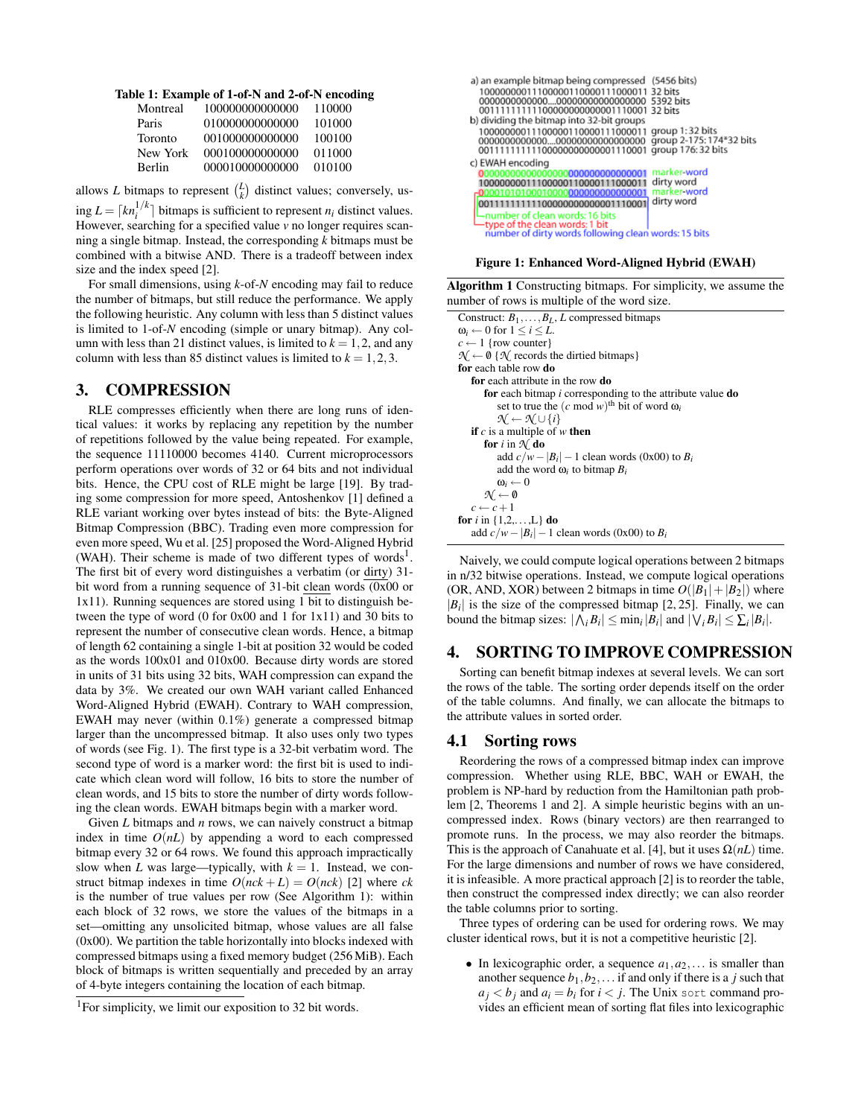|  |  |  | Table 1: Example of 1-of-N and 2-of-N encoding |  |
|--|--|--|------------------------------------------------|--|
|--|--|--|------------------------------------------------|--|

| Montreal | 100000000000000 | 110000 |
|----------|-----------------|--------|
| Paris    | 010000000000000 | 101000 |
| Toronto  | 001000000000000 | 100100 |
| New York | 000100000000000 | 011000 |
| Berlin   | 000010000000000 | 010100 |

allows *L* bitmaps to represent  $\binom{L}{k}$  distinct values; conversely, us-

 $\lim_{i} L = \lceil k n_i^{1/k} \rceil$  bitmaps is sufficient to represent  $n_i$  distinct values. However, searching for a specified value *v* no longer requires scanning a single bitmap. Instead, the corresponding *k* bitmaps must be combined with a bitwise AND. There is a tradeoff between index size and the index speed [2].

For small dimensions, using *k*-of-*N* encoding may fail to reduce the number of bitmaps, but still reduce the performance. We apply the following heuristic. Any column with less than 5 distinct values is limited to 1-of-*N* encoding (simple or unary bitmap). Any column with less than 21 distinct values, is limited to  $k = 1, 2$ , and any column with less than 85 distinct values is limited to  $k = 1, 2, 3$ .

### 3. COMPRESSION

RLE compresses efficiently when there are long runs of identical values: it works by replacing any repetition by the number of repetitions followed by the value being repeated. For example, the sequence 11110000 becomes 4140. Current microprocessors perform operations over words of 32 or 64 bits and not individual bits. Hence, the CPU cost of RLE might be large [19]. By trading some compression for more speed, Antoshenkov [1] defined a RLE variant working over bytes instead of bits: the Byte-Aligned Bitmap Compression (BBC). Trading even more compression for even more speed, Wu et al. [25] proposed the Word-Aligned Hybrid (WAH). Their scheme is made of two different types of words<sup>1</sup>. The first bit of every word distinguishes a verbatim (or dirty) 31 bit word from a running sequence of 31-bit clean words (0x00 or 1x11). Running sequences are stored using 1 bit to distinguish between the type of word (0 for 0x00 and 1 for 1x11) and 30 bits to represent the number of consecutive clean words. Hence, a bitmap of length 62 containing a single 1-bit at position 32 would be coded as the words 100x01 and 010x00. Because dirty words are stored in units of 31 bits using 32 bits, WAH compression can expand the data by 3%. We created our own WAH variant called Enhanced Word-Aligned Hybrid (EWAH). Contrary to WAH compression, EWAH may never (within 0.1%) generate a compressed bitmap larger than the uncompressed bitmap. It also uses only two types of words (see Fig. 1). The first type is a 32-bit verbatim word. The second type of word is a marker word: the first bit is used to indicate which clean word will follow, 16 bits to store the number of clean words, and 15 bits to store the number of dirty words following the clean words. EWAH bitmaps begin with a marker word.

Given *L* bitmaps and *n* rows, we can naively construct a bitmap index in time  $O(nL)$  by appending a word to each compressed bitmap every 32 or 64 rows. We found this approach impractically slow when *L* was large—typically, with  $k = 1$ . Instead, we construct bitmap indexes in time  $O(nck + L) = O(nck)$  [2] where *ck* is the number of true values per row (See Algorithm 1): within each block of 32 rows, we store the values of the bitmaps in a set—omitting any unsolicited bitmap, whose values are all false (0x00). We partition the table horizontally into blocks indexed with compressed bitmaps using a fixed memory budget (256 MiB). Each block of bitmaps is written sequentially and preceded by an array of 4-byte integers containing the location of each bitmap.

| a) an example bitmap being compressed (5456 bits)<br>10000000011100000110000111000011 32 bits<br>0000000000000000000000000000000 5392 bits<br>00111111111100000000000001110001 32 bits                          |                                                        |
|-----------------------------------------------------------------------------------------------------------------------------------------------------------------------------------------------------------------|--------------------------------------------------------|
| b) dividing the bitmap into 32-bit groups<br>10000000011100000110000111000011 group 1:32 bits<br>0000000000000000000000000000000 group 2-175: 174*32 bits<br>00111111111100000000000001110001 group 176:32 bits |                                                        |
| c) EWAH encoding<br>10000000011100000110000111000011<br>000010101000100000000000000000001<br>001111111111000000000000001110001                                                                                  | marker-word<br>dirty word<br>marker word<br>dirty word |
| ∟number of clean words: 16 bits<br>type of the clean words: 1 bit<br>number of dirty words following clean words: 15 bits                                                                                       |                                                        |

Figure 1: Enhanced Word-Aligned Hybrid (EWAH)

Algorithm 1 Constructing bitmaps. For simplicity, we assume the number of rows is multiple of the word size.

Construct: *B*1,...,*BL*, *L* compressed bitmaps  $\omega_i \leftarrow 0$  for  $1 \leq i \leq L$ .  $c \leftarrow 1$  {row counter}  $\mathcal{N} \leftarrow \emptyset$  { $\mathcal{N}$  records the dirtied bitmaps} for each table row do for each attribute in the row do for each bitmap *i* corresponding to the attribute value do set to true the  $(c \mod w)$ <sup>th</sup> bit of word  $\omega_i$ *N* ←  $\mathcal{N}$  ∪ {*i*} if *c* is a multiple of *w* then for *i* in  $\mathcal{N}$  do add  $c/w - |B_i| - 1$  clean words (0x00) to  $B_i$ add the word  $\omega_i$  to bitmap  $B_i$  $\omega_i \leftarrow 0$  $\mathcal{N} \leftarrow \emptyset$  $c \leftarrow c + 1$ **for** *i* in  $\{1, 2, \ldots, L\}$  **do** add  $c/w - |B_i| - 1$  clean words (0x00) to  $B_i$ 

Naively, we could compute logical operations between 2 bitmaps in n/32 bitwise operations. Instead, we compute logical operations (OR, AND, XOR) between 2 bitmaps in time  $O(|B_1|+|B_2|)$  where  $|B_i|$  is the size of the compressed bitmap [2, 25]. Finally, we can bound the bitmap sizes:  $|\bigwedge_i B_i| \le \min_i |B_i|$  and  $|\bigvee_i B_i| \le \sum_i |B_i|$ .

## 4. SORTING TO IMPROVE COMPRESSION

Sorting can benefit bitmap indexes at several levels. We can sort the rows of the table. The sorting order depends itself on the order of the table columns. And finally, we can allocate the bitmaps to the attribute values in sorted order.

### 4.1 Sorting rows

Reordering the rows of a compressed bitmap index can improve compression. Whether using RLE, BBC, WAH or EWAH, the problem is NP-hard by reduction from the Hamiltonian path problem [2, Theorems 1 and 2]. A simple heuristic begins with an uncompressed index. Rows (binary vectors) are then rearranged to promote runs. In the process, we may also reorder the bitmaps. This is the approach of Canahuate et al. [4], but it uses  $\Omega(nL)$  time. For the large dimensions and number of rows we have considered, it is infeasible. A more practical approach [2] is to reorder the table, then construct the compressed index directly; we can also reorder the table columns prior to sorting.

Three types of ordering can be used for ordering rows. We may cluster identical rows, but it is not a competitive heuristic [2].

• In lexicographic order, a sequence  $a_1, a_2, \ldots$  is smaller than another sequence  $b_1$ ,  $b_2$ ,... if and only if there is a *j* such that  $a_i < b_j$  and  $a_i = b_i$  for  $i < j$ . The Unix sort command provides an efficient mean of sorting flat files into lexicographic

<sup>&</sup>lt;sup>1</sup>For simplicity, we limit our exposition to 32 bit words.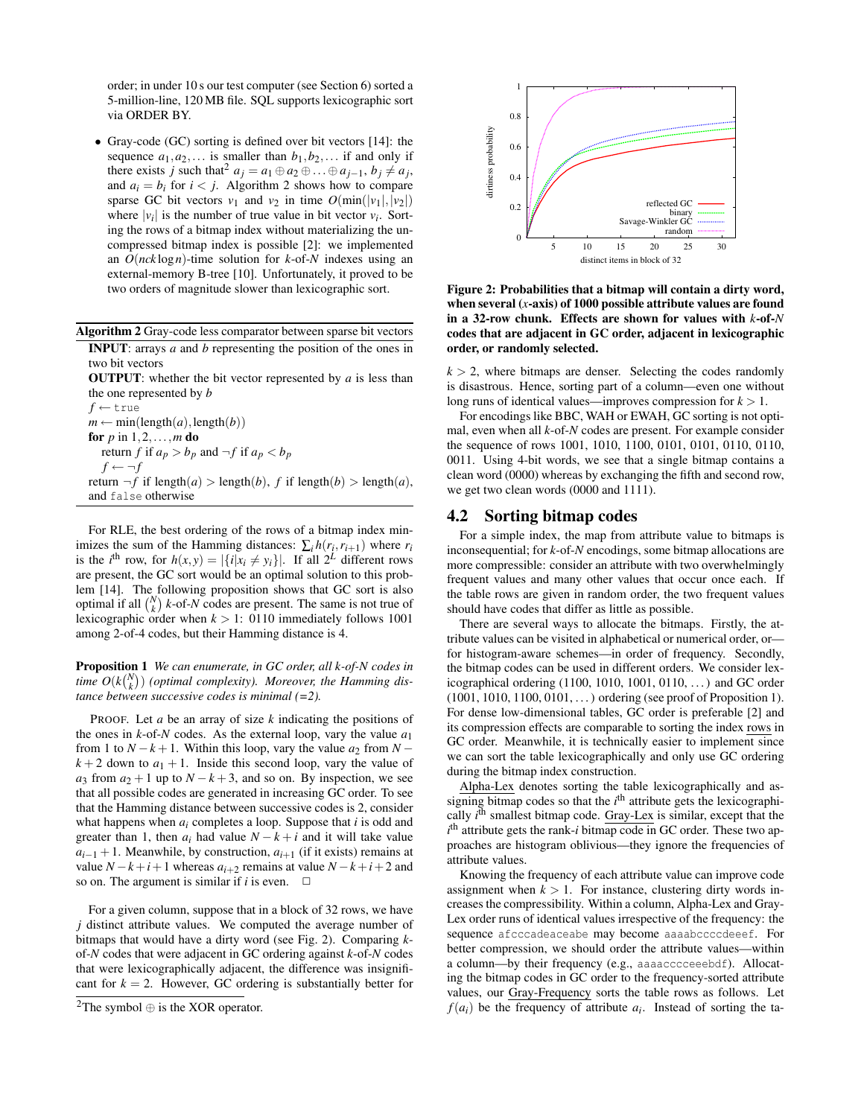order; in under 10 s our test computer (see Section 6) sorted a 5-million-line, 120 MB file. SQL supports lexicographic sort via ORDER BY.

• Gray-code (GC) sorting is defined over bit vectors [14]: the sequence  $a_1, a_2, \ldots$  is smaller than  $b_1, b_2, \ldots$  if and only if there exists *j* such that<sup>2</sup>  $a_j = a_1 \oplus a_2 \oplus \ldots \oplus a_{j-1}, b_j \neq a_j$ , and  $a_i = b_i$  for  $i < j$ . Algorithm 2 shows how to compare sparse GC bit vectors  $v_1$  and  $v_2$  in time  $O(\min(|v_1|,|v_2|))$ where  $|v_i|$  is the number of true value in bit vector  $v_i$ . Sorting the rows of a bitmap index without materializing the uncompressed bitmap index is possible [2]: we implemented an *O*(*nck* log*n*)-time solution for *k*-of-*N* indexes using an external-memory B-tree [10]. Unfortunately, it proved to be two orders of magnitude slower than lexicographic sort.

| Algorithm 2 Gray-code less comparator between sparse bit vectors           |  |
|----------------------------------------------------------------------------|--|
| <b>INPUT</b> : arrays $a$ and $b$ representing the position of the ones in |  |

two bit vectors

OUTPUT: whether the bit vector represented by *a* is less than the one represented by *b f* ← true

 $m \leftarrow min(length(a), length(b))$ for *p* in 1,2,...,*m* do return *f* if  $a_p > b_p$  and  $\neg f$  if  $a_p < b_p$  $f \leftarrow \neg f$ return  $\neg f$  if length $(a)$  > length $(b)$ ,  $f$  if length $(b)$  > length $(a)$ , and false otherwise

For RLE, the best ordering of the rows of a bitmap index minimizes the sum of the Hamming distances:  $\sum_i h(r_i, r_{i+1})$  where  $r_i$ is the *i*<sup>th</sup> row, for  $h(x, y) = |\{i | x_i \neq y_i\}|$ . If all  $2^L$  different rows are present, the GC sort would be an optimal solution to this problem [14]. The following proposition shows that GC sort is also optimal if all  $\binom{N}{k}$  *k*-of-*N* codes are present. The same is not true of lexicographic order when  $k > 1$ : 0110 immediately follows 1001 among 2-of-4 codes, but their Hamming distance is 4.

Proposition 1 *We can enumerate, in GC order, all k-of-N codes in* time  $O(k\binom{N}{k})$  (optimal complexity). Moreover, the Hamming dis*tance between successive codes is minimal (=2).*

PROOF. Let *a* be an array of size *k* indicating the positions of the ones in  $k$ -of- $N$  codes. As the external loop, vary the value  $a_1$ from 1 to  $N - k + 1$ . Within this loop, vary the value  $a_2$  from  $N$  $k + 2$  down to  $a_1 + 1$ . Inside this second loop, vary the value of *a*<sub>3</sub> from  $a_2 + 1$  up to  $N - k + 3$ , and so on. By inspection, we see that all possible codes are generated in increasing GC order. To see that the Hamming distance between successive codes is 2, consider what happens when *ai* completes a loop. Suppose that *i* is odd and greater than 1, then  $a_i$  had value  $N - k + i$  and it will take value  $a_{i-1} + 1$ . Meanwhile, by construction,  $a_{i+1}$  (if it exists) remains at value  $N - k + i + 1$  whereas  $a_{i+2}$  remains at value  $N - k + i + 2$  and so on. The argument is similar if  $i$  is even.  $\Box$ 

For a given column, suppose that in a block of 32 rows, we have *j* distinct attribute values. We computed the average number of bitmaps that would have a dirty word (see Fig. 2). Comparing *k*of-*N* codes that were adjacent in GC ordering against *k*-of-*N* codes that were lexicographically adjacent, the difference was insignificant for  $k = 2$ . However, GC ordering is substantially better for



Figure 2: Probabilities that a bitmap will contain a dirty word, when several (*x*-axis) of 1000 possible attribute values are found in a 32-row chunk. Effects are shown for values with *k*-of-*N* codes that are adjacent in GC order, adjacent in lexicographic order, or randomly selected.

 $k > 2$ , where bitmaps are denser. Selecting the codes randomly is disastrous. Hence, sorting part of a column—even one without long runs of identical values—improves compression for *k* > 1.

For encodings like BBC, WAH or EWAH, GC sorting is not optimal, even when all *k*-of-*N* codes are present. For example consider the sequence of rows 1001, 1010, 1100, 0101, 0101, 0110, 0110, 0011. Using 4-bit words, we see that a single bitmap contains a clean word (0000) whereas by exchanging the fifth and second row, we get two clean words (0000 and 1111).

### 4.2 Sorting bitmap codes

For a simple index, the map from attribute value to bitmaps is inconsequential; for *k*-of-*N* encodings, some bitmap allocations are more compressible: consider an attribute with two overwhelmingly frequent values and many other values that occur once each. If the table rows are given in random order, the two frequent values should have codes that differ as little as possible.

There are several ways to allocate the bitmaps. Firstly, the attribute values can be visited in alphabetical or numerical order, or for histogram-aware schemes—in order of frequency. Secondly, the bitmap codes can be used in different orders. We consider lexicographical ordering (1100, 1010, 1001, 0110, . . . ) and GC order (1001, 1010, 1100, 0101, . . . ) ordering (see proof of Proposition 1). For dense low-dimensional tables, GC order is preferable [2] and its compression effects are comparable to sorting the index rows in GC order. Meanwhile, it is technically easier to implement since we can sort the table lexicographically and only use GC ordering during the bitmap index construction.

Alpha-Lex denotes sorting the table lexicographically and assigning bitmap codes so that the  $i<sup>th</sup>$  attribute gets the lexicographically *i*<sup>th</sup> smallest bitmap code. Gray-Lex is similar, except that the *i*<sup>th</sup> attribute gets the rank-*i* bitmap code in GC order. These two approaches are histogram oblivious—they ignore the frequencies of attribute values.

Knowing the frequency of each attribute value can improve code assignment when  $k > 1$ . For instance, clustering dirty words increases the compressibility. Within a column, Alpha-Lex and Gray-Lex order runs of identical values irrespective of the frequency: the sequence afcccadeaceabe may become aaaabccccdeeef. For better compression, we should order the attribute values—within a column—by their frequency (e.g., aaaacccceeebdf). Allocating the bitmap codes in GC order to the frequency-sorted attribute values, our Gray-Frequency sorts the table rows as follows. Let  $f(a_i)$  be the frequency of attribute  $a_i$ . Instead of sorting the ta-

<sup>&</sup>lt;sup>2</sup>The symbol  $\oplus$  is the XOR operator.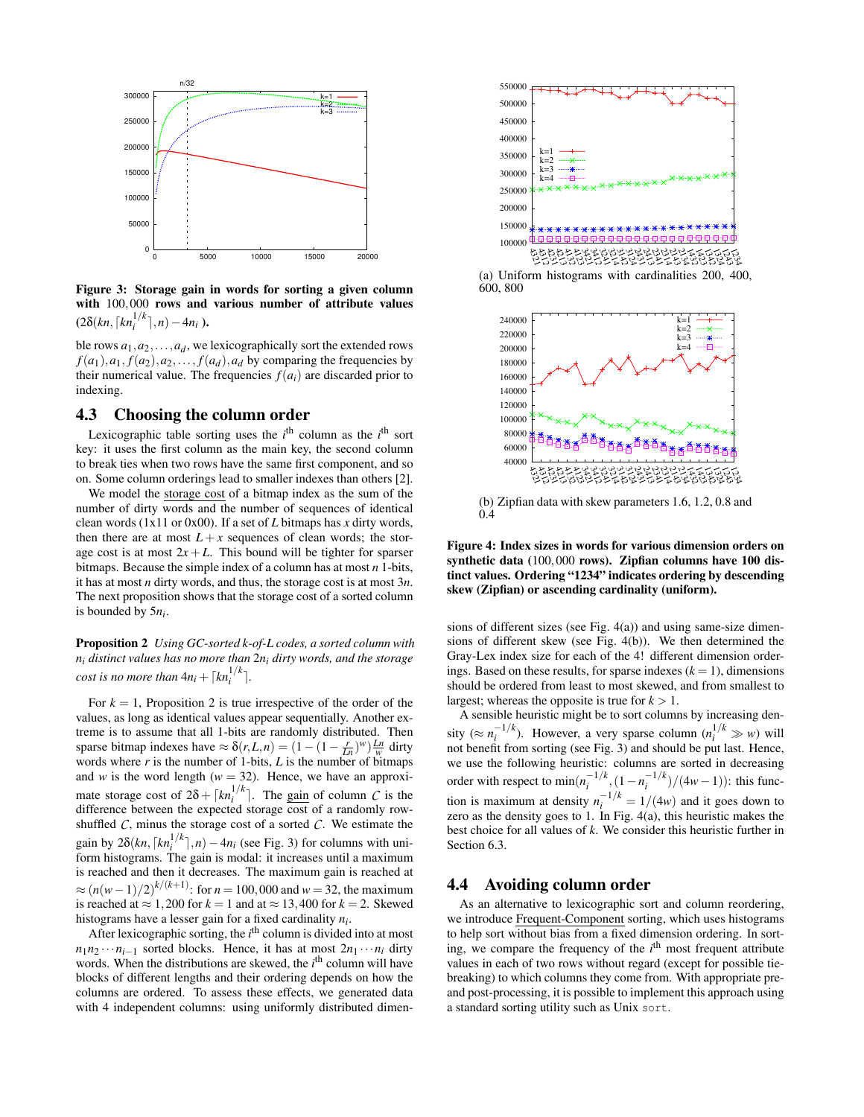

Figure 3: Storage gain in words for sorting a given column with 100,000 rows and various number of attribute values  $(2\delta(kn, \lceil kn_i^{1/k} \rceil, n) - 4n_i)$ .

ble rows  $a_1, a_2, \ldots, a_d$ , we lexicographically sort the extended rows  $f(a_1), a_1, f(a_2), a_2, \ldots, f(a_d), a_d$  by comparing the frequencies by their numerical value. The frequencies  $f(a_i)$  are discarded prior to indexing.

# 4.3 Choosing the column order

Lexicographic table sorting uses the  $i<sup>th</sup>$  column as the  $i<sup>th</sup>$  sort key: it uses the first column as the main key, the second column to break ties when two rows have the same first component, and so on. Some column orderings lead to smaller indexes than others [2].

We model the storage cost of a bitmap index as the sum of the number of dirty words and the number of sequences of identical clean words (1x11 or 0x00). If a set of *L* bitmaps has *x* dirty words, then there are at most  $L + x$  sequences of clean words; the storage cost is at most  $2x + L$ . This bound will be tighter for sparser bitmaps. Because the simple index of a column has at most *n* 1-bits, it has at most *n* dirty words, and thus, the storage cost is at most 3*n*. The next proposition shows that the storage cost of a sorted column is bounded by 5*ni* .

Proposition 2 *Using GC-sorted k-of-L codes, a sorted column with ni distinct values has no more than* 2*ni dirty words, and the storage cost is no more than*  $4n_i + \lceil kn_i^{1/k} \rceil$ .

For  $k = 1$ , Proposition 2 is true irrespective of the order of the values, as long as identical values appear sequentially. Another extreme is to assume that all 1-bits are randomly distributed. Then sparse bitmap indexes have  $\approx \delta(r, L, n) = (1 - (1 - \frac{r}{Ln})^w) \frac{Ln}{w}$  dirty words where  $r$  is the number of 1-bits,  $L$  is the number of bitmaps and *w* is the word length ( $w = 32$ ). Hence, we have an approximate storage cost of  $2\delta + \lceil k n_i^{1/k} \rceil$ . The gain of column *C* is the difference between the expected storage cost of a randomly rowshuffled  $\hat{C}$ , minus the storage cost of a sorted  $\hat{C}$ . We estimate the gain by  $2\delta(kn, \lceil kn_i^{1/k} \rceil, n) - 4n_i$  (see Fig. 3) for columns with uniform histograms. The gain is modal: it increases until a maximum is reached and then it decreases. The maximum gain is reached at  $\approx (n(w-1)/2)^{k/(k+1)}$ : for  $n = 100,000$  and  $w = 32$ , the maximum is reached at  $\approx 1,200$  for  $k = 1$  and at  $\approx 13,400$  for  $k = 2$ . Skewed histograms have a lesser gain for a fixed cardinality *ni* .

After lexicographic sorting, the *i*<sup>th</sup> column is divided into at most  $n_1 n_2 \cdots n_{i-1}$  sorted blocks. Hence, it has at most  $2n_1 \cdots n_i$  dirty words. When the distributions are skewed, the *i*<sup>th</sup> column will have blocks of different lengths and their ordering depends on how the columns are ordered. To assess these effects, we generated data with 4 independent columns: using uniformly distributed dimen-



(a) Uniform histograms with cardinalities 200, 400, 600, 800



Figure 4: Index sizes in words for various dimension orders on synthetic data (100,000 rows). Zipfian columns have 100 distinct values. Ordering "1234" indicates ordering by descending skew (Zipfian) or ascending cardinality (uniform).

sions of different sizes (see Fig. 4(a)) and using same-size dimensions of different skew (see Fig. 4(b)). We then determined the Gray-Lex index size for each of the 4! different dimension orderings. Based on these results, for sparse indexes  $(k = 1)$ , dimensions should be ordered from least to most skewed, and from smallest to largest; whereas the opposite is true for  $k > 1$ .

A sensible heuristic might be to sort columns by increasing density ( $\approx n_i^{-1/k}$ ). However, a very sparse column ( $n_i^{1/k} \gg w$ ) will  $\sum_{i}$   $\sum_{i}$   $\sum_{i}$  nowever, a very sparse column  $(n_i \gg w)$  wind be put last. Hence, we use the following heuristic: columns are sorted in decreasing order with respect to  $\min(n_i^{-1/k}, (1 - n_i^{-1/k})/(4w - 1))$ : this function is maximum at density  $n_i^{-1/k} = 1/(4w)$  and it goes down to zero as the density goes to 1. In Fig.  $4(a)$ , this heuristic makes the best choice for all values of *k*. We consider this heuristic further in Section 6.3.

# 4.4 Avoiding column order

As an alternative to lexicographic sort and column reordering, we introduce Frequent-Component sorting, which uses histograms to help sort without bias from a fixed dimension ordering. In sorting, we compare the frequency of the *i*<sup>th</sup> most frequent attribute values in each of two rows without regard (except for possible tiebreaking) to which columns they come from. With appropriate preand post-processing, it is possible to implement this approach using a standard sorting utility such as Unix sort.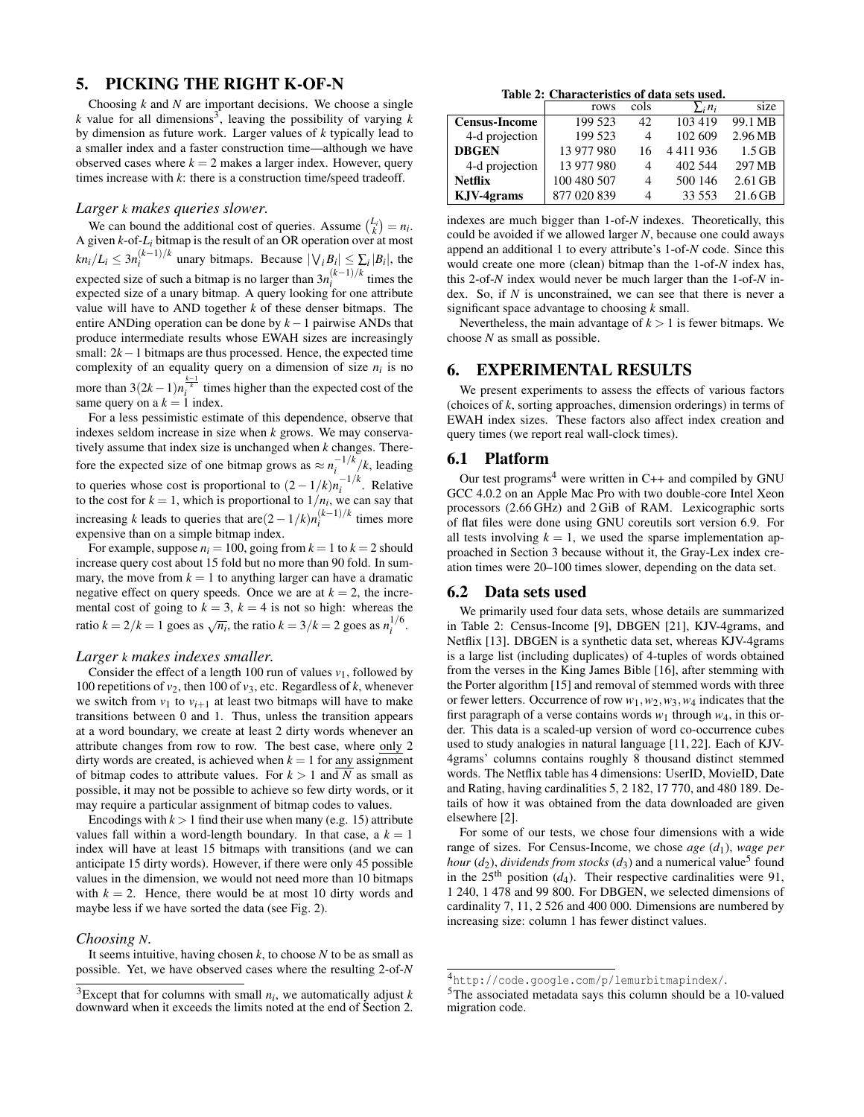# 5. PICKING THE RIGHT K-OF-N

Choosing *k* and *N* are important decisions. We choose a single  $k$  value for all dimensions<sup>3</sup>, leaving the possibility of varying  $k$ by dimension as future work. Larger values of *k* typically lead to a smaller index and a faster construction time—although we have observed cases where  $k = 2$  makes a larger index. However, query times increase with *k*: there is a construction time/speed tradeoff.

### *Larger k makes queries slower.*

We can bound the additional cost of queries. Assume  $\binom{L_i}{k} = n_i$ . A given *k*-of-*Li* bitmap is the result of an OR operation over at most  $kn_i/L_i \leq 3n_i^{(k-1)/k}$  unary bitmaps. Because  $|\forall_i B_i| \leq \sum_i |B_i|$ , the expected size of such a bitmap is no larger than  $3n_i^{(k-1)/k}$  times the expected size of a unary bitmap. A query looking for one attribute value will have to AND together  $k$  of these denser bitmaps. The entire ANDing operation can be done by *k*−1 pairwise ANDs that produce intermediate results whose EWAH sizes are increasingly small: 2*k*−1 bitmaps are thus processed. Hence, the expected time complexity of an equality query on a dimension of size  $n_i$  is no more than  $3(2k-1)n_i^{\frac{k-1}{k}}$  times higher than the expected cost of the same query on a  $k = 1$  index.

For a less pessimistic estimate of this dependence, observe that indexes seldom increase in size when *k* grows. We may conservatively assume that index size is unchanged when *k* changes. Therefore the expected size of one bitmap grows as  $\approx n_i^{-1/k}/k$ , leading to queries whose cost is proportional to  $(2 - 1/k)n_i^{-1/k}$ . Relative to the cost for  $k = 1$ , which is proportional to  $1/n_i$ , we can say that increasing *k* leads to queries that are $(2-1/k)n_i^{(k-1)/k}$  times more expensive than on a simple bitmap index.

For example, suppose  $n_i = 100$ , going from  $k = 1$  to  $k = 2$  should increase query cost about 15 fold but no more than 90 fold. In summary, the move from  $k = 1$  to anything larger can have a dramatic negative effect on query speeds. Once we are at  $k = 2$ , the incremental cost of going to  $k = 3$ ,  $k = 4$  is not so high: whereas the ratio  $k = 2/k = 1$  goes as  $\sqrt{n_i}$ , the ratio  $k = 3/k = 2$  goes as  $n_i^{1/6}$ .

#### *Larger k makes indexes smaller.*

Consider the effect of a length 100 run of values  $v_1$ , followed by 100 repetitions of  $v_2$ , then 100 of  $v_3$ , etc. Regardless of *k*, whenever we switch from  $v_1$  to  $v_{i+1}$  at least two bitmaps will have to make transitions between 0 and 1. Thus, unless the transition appears at a word boundary, we create at least 2 dirty words whenever an attribute changes from row to row. The best case, where only 2 dirty words are created, is achieved when  $k = 1$  for any assignment of bitmap codes to attribute values. For  $k > 1$  and N as small as possible, it may not be possible to achieve so few dirty words, or it may require a particular assignment of bitmap codes to values.

Encodings with  $k > 1$  find their use when many (e.g. 15) attribute values fall within a word-length boundary. In that case, a  $k = 1$ index will have at least 15 bitmaps with transitions (and we can anticipate 15 dirty words). However, if there were only 45 possible values in the dimension, we would not need more than 10 bitmaps with  $k = 2$ . Hence, there would be at most 10 dirty words and maybe less if we have sorted the data (see Fig. 2).

#### *Choosing N.*

It seems intuitive, having chosen  $k$ , to choose  $N$  to be as small as possible. Yet, we have observed cases where the resulting 2-of-*N*

Table 2: Characteristics of data sets used.

|                      | rows        | cols           | $\sum_i n_i$ | size      |
|----------------------|-------------|----------------|--------------|-----------|
| <b>Census-Income</b> | 199 523     | 42             | 103 419      | 99.1 MB   |
| 4-d projection       | 199 523     | 4              | 102 609      | 2.96 MB   |
| <b>DBGEN</b>         | 13 977 980  | 16             | 4411936      | $1.5$ GB  |
| 4-d projection       | 13 977 980  | 4              | 402 544      | 297 MB    |
| <b>Netflix</b>       | 100 480 507 | $\overline{4}$ | 500 146      | $2.61$ GB |
| KJV-4grams           | 877 020 839 | 4              | 33 553       | $21.6$ GB |

indexes are much bigger than 1-of-*N* indexes. Theoretically, this could be avoided if we allowed larger *N*, because one could aways append an additional 1 to every attribute's 1-of-*N* code. Since this would create one more (clean) bitmap than the 1-of-*N* index has, this 2-of-*N* index would never be much larger than the 1-of-*N* index. So, if *N* is unconstrained, we can see that there is never a significant space advantage to choosing *k* small.

Nevertheless, the main advantage of  $k > 1$  is fewer bitmaps. We choose *N* as small as possible.

# 6. EXPERIMENTAL RESULTS

We present experiments to assess the effects of various factors (choices of *k*, sorting approaches, dimension orderings) in terms of EWAH index sizes. These factors also affect index creation and query times (we report real wall-clock times).

## 6.1 Platform

Our test programs<sup>4</sup> were written in C++ and compiled by GNU GCC 4.0.2 on an Apple Mac Pro with two double-core Intel Xeon processors (2.66 GHz) and 2 GiB of RAM. Lexicographic sorts of flat files were done using GNU coreutils sort version 6.9. For all tests involving  $k = 1$ , we used the sparse implementation approached in Section 3 because without it, the Gray-Lex index creation times were 20–100 times slower, depending on the data set.

### 6.2 Data sets used

We primarily used four data sets, whose details are summarized in Table 2: Census-Income [9], DBGEN [21], KJV-4grams, and Netflix [13]. DBGEN is a synthetic data set, whereas KJV-4grams is a large list (including duplicates) of 4-tuples of words obtained from the verses in the King James Bible [16], after stemming with the Porter algorithm [15] and removal of stemmed words with three or fewer letters. Occurrence of row *w*1,*w*2,*w*3,*w*<sup>4</sup> indicates that the first paragraph of a verse contains words  $w_1$  through  $w_4$ , in this order. This data is a scaled-up version of word co-occurrence cubes used to study analogies in natural language [11, 22]. Each of KJV-4grams' columns contains roughly 8 thousand distinct stemmed words. The Netflix table has 4 dimensions: UserID, MovieID, Date and Rating, having cardinalities 5, 2 182, 17 770, and 480 189. Details of how it was obtained from the data downloaded are given elsewhere [2].

For some of our tests, we chose four dimensions with a wide range of sizes. For Census-Income, we chose *age* (*d*1), *wage per hour*  $(d_2)$ , *dividends from stocks*  $(d_3)$  and a numerical value<sup>5</sup> found in the  $25<sup>th</sup>$  position ( $d_4$ ). Their respective cardinalities were 91, 1 240, 1 478 and 99 800. For DBGEN, we selected dimensions of cardinality 7, 11, 2 526 and 400 000. Dimensions are numbered by increasing size: column 1 has fewer distinct values.

<sup>&</sup>lt;sup>3</sup>Except that for columns with small  $n_i$ , we automatically adjust  $k$ downward when it exceeds the limits noted at the end of Section 2.

<sup>4</sup>http://code.google.com/p/lemurbitmapindex/.

<sup>5</sup>The associated metadata says this column should be a 10-valued migration code.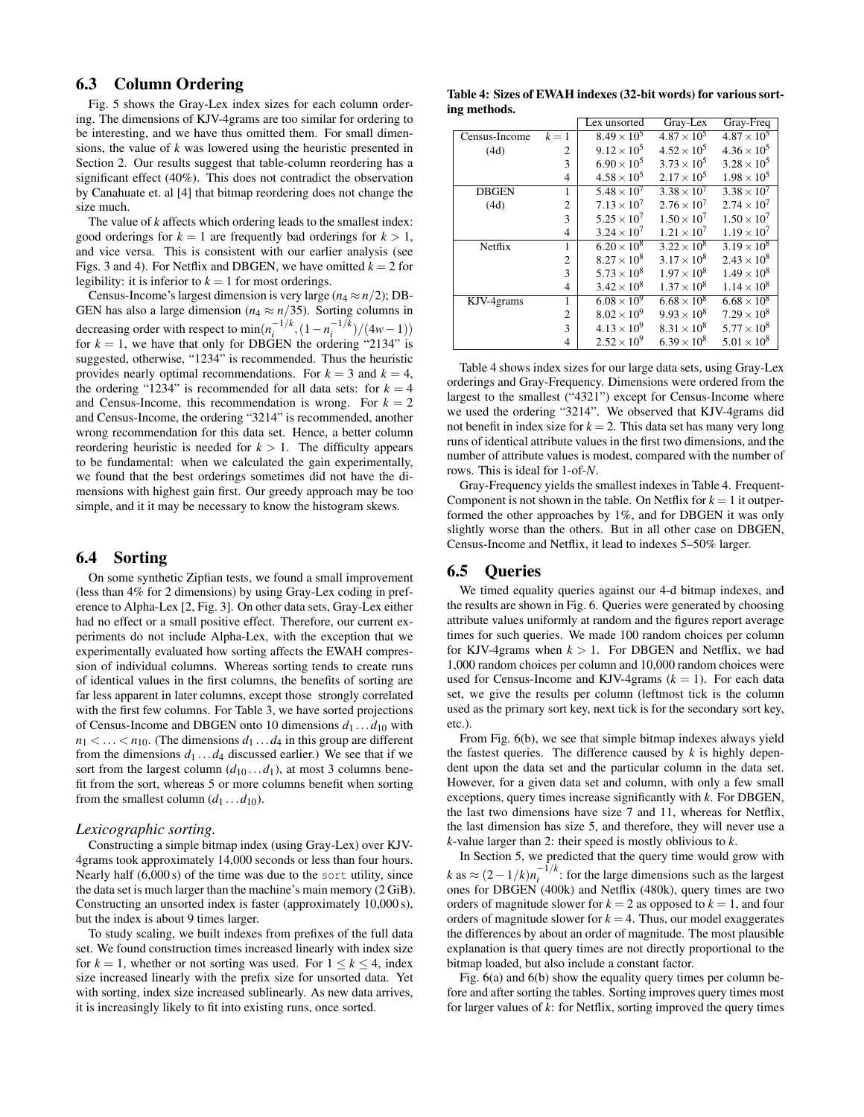# 6.3 Column Ordering

Fig. 5 shows the Gray-Lex index sizes for each column ordering. The dimensions of KJV-4grams are too similar for ordering to be interesting, and we have thus omitted them. For small dimensions, the value of *k* was lowered using the heuristic presented in Section 2. Our results suggest that table-column reordering has a significant effect (40%). This does not contradict the observation by Canahuate et. al [4] that bitmap reordering does not change the size much.

The value of *k* affects which ordering leads to the smallest index: good orderings for  $k = 1$  are frequently bad orderings for  $k > 1$ , and vice versa. This is consistent with our earlier analysis (see Figs. 3 and 4). For Netflix and DBGEN, we have omitted  $k = 2$  for legibility: it is inferior to  $k = 1$  for most orderings.

Census-Income's largest dimension is very large  $(n_4 \approx n/2)$ ; DB-GEN has also a large dimension ( $n_4 \approx n/35$ ). Sorting columns in decreasing order with respect to  $\min(n_i^{-1/k}, (1 - n_i^{-1/k})/(4w - 1))$ for  $k = 1$ , we have that only for DBGEN the ordering "2134" is suggested, otherwise, "1234" is recommended. Thus the heuristic provides nearly optimal recommendations. For  $k = 3$  and  $k = 4$ , the ordering "1234" is recommended for all data sets: for  $k = 4$ and Census-Income, this recommendation is wrong. For  $k = 2$ and Census-Income, the ordering "3214" is recommended, another wrong recommendation for this data set. Hence, a better column reordering heuristic is needed for  $k > 1$ . The difficulty appears to be fundamental: when we calculated the gain experimentally, we found that the best orderings sometimes did not have the dimensions with highest gain first. Our greedy approach may be too simple, and it it may be necessary to know the histogram skews.

# 6.4 Sorting

On some synthetic Zipfian tests, we found a small improvement (less than 4% for 2 dimensions) by using Gray-Lex coding in preference to Alpha-Lex [2, Fig. 3]. On other data sets, Gray-Lex either had no effect or a small positive effect. Therefore, our current experiments do not include Alpha-Lex, with the exception that we experimentally evaluated how sorting affects the EWAH compression of individual columns. Whereas sorting tends to create runs of identical values in the first columns, the benefits of sorting are far less apparent in later columns, except those strongly correlated with the first few columns. For Table 3, we have sorted projections of Census-Income and DBGEN onto 10 dimensions  $d_1 \ldots d_{10}$  with  $n_1 < \ldots < n_{10}$ . (The dimensions  $d_1 \ldots d_4$  in this group are different from the dimensions  $d_1 \ldots d_4$  discussed earlier.) We see that if we sort from the largest column  $(d_{10} \dots d_1)$ , at most 3 columns benefit from the sort, whereas 5 or more columns benefit when sorting from the smallest column  $(d_1 \dots d_{10})$ .

### *Lexicographic sorting.*

Constructing a simple bitmap index (using Gray-Lex) over KJV-4grams took approximately 14,000 seconds or less than four hours. Nearly half  $(6,000 s)$  of the time was due to the sort utility, since the data set is much larger than the machine's main memory (2 GiB). Constructing an unsorted index is faster (approximately 10,000 s), but the index is about 9 times larger.

To study scaling, we built indexes from prefixes of the full data set. We found construction times increased linearly with index size for  $k = 1$ , whether or not sorting was used. For  $1 \leq k \leq 4$ , index size increased linearly with the prefix size for unsorted data. Yet with sorting, index size increased sublinearly. As new data arrives, it is increasingly likely to fit into existing runs, once sorted.

Table 4: Sizes of EWAH indexes (32-bit words) for various sorting methods.

|               |                | Lex unsorted         | Gray-Lex             | Gray-Freq            |
|---------------|----------------|----------------------|----------------------|----------------------|
| Census-Income | $k=1$          | $8.49 \times 10^{5}$ | $4.87 \times 10^{5}$ | $4.87 \times 10^{5}$ |
| (4d)          | $\overline{c}$ | $9.12 \times 10^5$   | $4.52 \times 10^{5}$ | $4.36 \times 10^{5}$ |
|               | 3              | $6.90 \times 10^{5}$ | $3.73 \times 10^{5}$ | $3.28 \times 10^{5}$ |
|               | $\overline{4}$ | $4.58 \times 10^{5}$ | $2.17 \times 10^{5}$ | $1.98 \times 10^{5}$ |
| <b>DBGEN</b>  | 1              | $5.48 \times 10^{7}$ | $3.38 \times 10^{7}$ | $3.38 \times 10^{7}$ |
| (4d)          | 2              | $7.13 \times 10^{7}$ | $2.76 \times 10^{7}$ | $2.74 \times 10^{7}$ |
|               | 3              | $5.25 \times 10^{7}$ | $1.50 \times 10^{7}$ | $1.50 \times 10^{7}$ |
|               | $\overline{4}$ | $3.24 \times 10^{7}$ | $1.21 \times 10^{7}$ | $1.19 \times 10^{7}$ |
| Netflix       | 1              | $6.20 \times 10^{8}$ | $3.22 \times 10^8$   | $3.19 \times 10^{8}$ |
|               | 2              | $8.27 \times 10^{8}$ | $3.17 \times 10^{8}$ | $2.43 \times 10^{8}$ |
|               | 3              | $5.73 \times 10^{8}$ | $1.97 \times 10^{8}$ | $1.49 \times 10^{8}$ |
|               | $\overline{4}$ | $3.42 \times 10^{8}$ | $1.37 \times 10^{8}$ | $1.14 \times 10^{8}$ |
| KJV-4grams    | 1              | $6.08 \times 10^{9}$ | $6.68 \times 10^{8}$ | $6.68 \times 10^{8}$ |
|               | 2              | $8.02 \times 10^{9}$ | $9.93 \times 10^{8}$ | $7.29 \times 10^8$   |
|               | 3              | $4.13 \times 10^{9}$ | $8.31 \times 10^{8}$ | $5.77 \times 10^{8}$ |
|               | 4              | $2.52 \times 10^{9}$ | $6.39 \times 10^{8}$ | $5.01 \times 10^{8}$ |

Table 4 shows index sizes for our large data sets, using Gray-Lex orderings and Gray-Frequency. Dimensions were ordered from the largest to the smallest ("4321") except for Census-Income where we used the ordering "3214". We observed that KJV-4grams did not benefit in index size for  $k = 2$ . This data set has many very long runs of identical attribute values in the first two dimensions, and the number of attribute values is modest, compared with the number of rows. This is ideal for 1-of-*N*.

Gray-Frequency yields the smallest indexes in Table 4. Frequent-Component is not shown in the table. On Netflix for  $k = 1$  it outperformed the other approaches by 1%, and for DBGEN it was only slightly worse than the others. But in all other case on DBGEN, Census-Income and Netflix, it lead to indexes 5–50% larger.

# 6.5 Queries

We timed equality queries against our 4-d bitmap indexes, and the results are shown in Fig. 6. Queries were generated by choosing attribute values uniformly at random and the figures report average times for such queries. We made 100 random choices per column for KJV-4grams when  $k > 1$ . For DBGEN and Netflix, we had 1,000 random choices per column and 10,000 random choices were used for Census-Income and KJV-4grams  $(k = 1)$ . For each data set, we give the results per column (leftmost tick is the column used as the primary sort key, next tick is for the secondary sort key, etc.).

From Fig. 6(b), we see that simple bitmap indexes always yield the fastest queries. The difference caused by  $k$  is highly dependent upon the data set and the particular column in the data set. However, for a given data set and column, with only a few small exceptions, query times increase significantly with *k*. For DBGEN, the last two dimensions have size 7 and 11, whereas for Netflix, the last dimension has size 5, and therefore, they will never use a *k*-value larger than 2: their speed is mostly oblivious to *k*.

In Section 5, we predicted that the query time would grow with  $k$  as  $\approx (2 - 1/k)n_i^{-1/k}$ : for the large dimensions such as the largest ones for DBGEN (400k) and Netflix (480k), query times are two orders of magnitude slower for  $k = 2$  as opposed to  $k = 1$ , and four orders of magnitude slower for  $k = 4$ . Thus, our model exaggerates the differences by about an order of magnitude. The most plausible explanation is that query times are not directly proportional to the bitmap loaded, but also include a constant factor.

Fig. 6(a) and 6(b) show the equality query times per column before and after sorting the tables. Sorting improves query times most for larger values of *k*: for Netflix, sorting improved the query times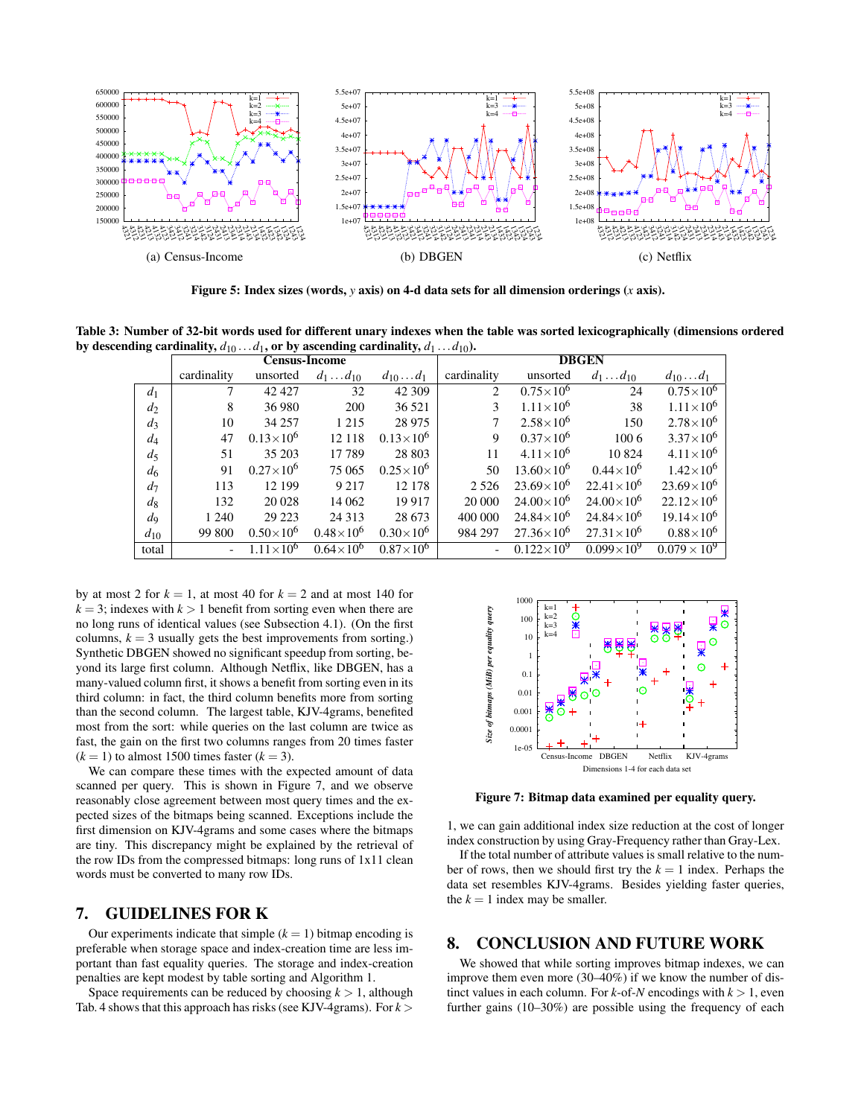

Figure 5: Index sizes (words, *y* axis) on 4-d data sets for all dimension orderings (*x* axis).

Table 3: Number of 32-bit words used for different unary indexes when the table was sorted lexicographically (dimensions ordered by descending cardinality,  $d_{10} \ldots d_1$ , or by ascending cardinality,  $d_1 \ldots d_{10}$ ).

|                | <b>Census-Income</b> |                      |                    | <b>DBGEN</b>        |             |                      |                     |                       |
|----------------|----------------------|----------------------|--------------------|---------------------|-------------|----------------------|---------------------|-----------------------|
|                | cardinality          | unsorted             | $d_1 \dots d_{10}$ | $d_{10} \ldots d_1$ | cardinality | unsorted             | $d_1 \dots d_{10}$  | $d_{10} \ldots d_1$   |
| d <sub>1</sub> | $\tau$               | 42 4 27              | 32                 | 42 309              | 2           | $0.75\times10^{6}$   | 24                  | $0.75\times10^{6}$    |
| $d_2$          | 8                    | 36 980               | 200                | 36 521              | 3           | $1.11\times10^{6}$   | 38                  | $1.11\times10^{6}$    |
| $d_3$          | 10                   | 34 257               | 1 2 1 5            | 28 9 75             | 7           | $2.58\times10^{6}$   | 150                 | $2.78\times10^{6}$    |
| $d_4$          | 47                   | $0.13\times10^{6}$   | 12 118             | $0.13\times10^{6}$  | 9           | $0.37\times10^{6}$   | 1006                | $3.37\times10^{6}$    |
| $d_5$          | 51                   | 35 203               | 17789              | 28 803              | 11          | $4.11 \times 10^{6}$ | 10824               | $4.11 \times 10^6$    |
| d <sub>6</sub> | 91                   | $0.27\times10^{6}$   | 75 065             | $0.25\times10^{6}$  | 50          | $13.60\times10^{6}$  | $0.44\times10^{6}$  | $1.42\times10^{6}$    |
| $d_7$          | 113                  | 12 199               | 9 2 1 7            | 12 178              | 2 5 2 6     | $23.69\times10^{6}$  | $22.41\times10^{6}$ | $23.69\times10^{6}$   |
| $d_{8}$        | 132                  | 20 028               | 14 062             | 19 9 17             | 20 000      | $24.00\times10^{6}$  | $24.00\times10^{6}$ | $22.12\times10^{6}$   |
| $d_{9}$        | 1 2 4 0              | 29 223               | 24 3 13            | 28 673              | 400 000     | $24.84\times10^{6}$  | $24.84\times10^{6}$ | $19.14 \times 10^6$   |
| $d_{10}$       | 99 800               | $0.50\times10^{6}$   | $0.48\times10^{6}$ | $0.30\times10^{6}$  | 984 297     | $27.36\times10^{6}$  | $27.31\times10^{6}$ | $0.88\times10^{6}$    |
| total          |                      | $1.11 \times 10^{6}$ | $0.64\times10^{6}$ | $0.87\times10^{6}$  |             | $0.122\times10^{9}$  | $0.099\times10^{9}$ | $0.079 \times 10^{9}$ |

by at most 2 for  $k = 1$ , at most 40 for  $k = 2$  and at most 140 for  $k = 3$ ; indexes with  $k > 1$  benefit from sorting even when there are no long runs of identical values (see Subsection 4.1). (On the first columns,  $k = 3$  usually gets the best improvements from sorting.) Synthetic DBGEN showed no significant speedup from sorting, beyond its large first column. Although Netflix, like DBGEN, has a many-valued column first, it shows a benefit from sorting even in its third column: in fact, the third column benefits more from sorting than the second column. The largest table, KJV-4grams, benefited most from the sort: while queries on the last column are twice as fast, the gain on the first two columns ranges from 20 times faster  $(k = 1)$  to almost 1500 times faster  $(k = 3)$ .

We can compare these times with the expected amount of data scanned per query. This is shown in Figure 7, and we observe reasonably close agreement between most query times and the expected sizes of the bitmaps being scanned. Exceptions include the first dimension on KJV-4grams and some cases where the bitmaps are tiny. This discrepancy might be explained by the retrieval of the row IDs from the compressed bitmaps: long runs of 1x11 clean words must be converted to many row IDs.

# 7. GUIDELINES FOR K

Our experiments indicate that simple  $(k = 1)$  bitmap encoding is preferable when storage space and index-creation time are less important than fast equality queries. The storage and index-creation penalties are kept modest by table sorting and Algorithm 1.

Space requirements can be reduced by choosing  $k > 1$ , although Tab. 4 shows that this approach has risks (see KJV-4grams). For  $k$  >



Figure 7: Bitmap data examined per equality query.

1, we can gain additional index size reduction at the cost of longer index construction by using Gray-Frequency rather than Gray-Lex.

If the total number of attribute values is small relative to the number of rows, then we should first try the  $k = 1$  index. Perhaps the data set resembles KJV-4grams. Besides yielding faster queries, the  $k = 1$  index may be smaller.

# 8. CONCLUSION AND FUTURE WORK

We showed that while sorting improves bitmap indexes, we can improve them even more (30–40%) if we know the number of distinct values in each column. For  $k$ -of- $N$  encodings with  $k > 1$ , even further gains (10–30%) are possible using the frequency of each